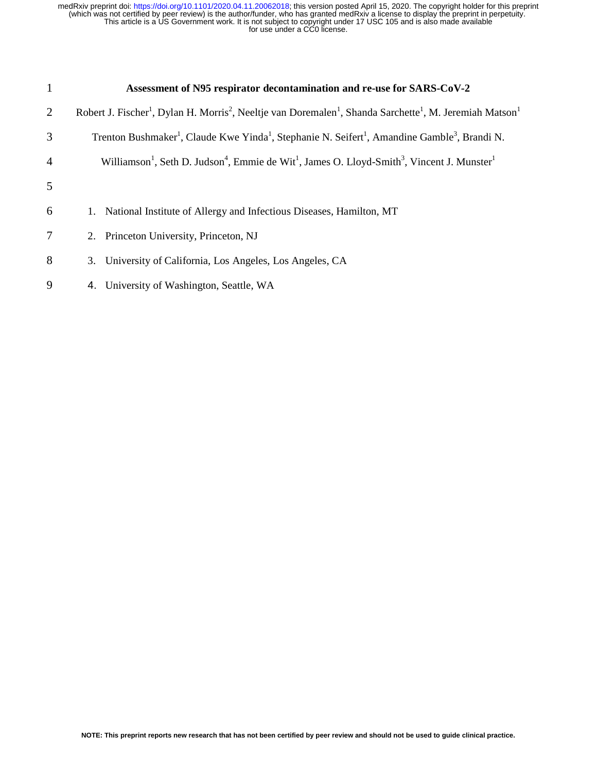| $\mathbf{1}$   | Assessment of N95 respirator decontamination and re-use for SARS-CoV-2                                                                                               |
|----------------|----------------------------------------------------------------------------------------------------------------------------------------------------------------------|
| $\overline{2}$ | Robert J. Fischer <sup>1</sup> , Dylan H. Morris <sup>2</sup> , Neeltje van Doremalen <sup>1</sup> , Shanda Sarchette <sup>1</sup> , M. Jeremiah Matson <sup>1</sup> |
| 3              | Trenton Bushmaker <sup>1</sup> , Claude Kwe Yinda <sup>1</sup> , Stephanie N. Seifert <sup>1</sup> , Amandine Gamble <sup>3</sup> , Brandi N.                        |
| $\overline{4}$ | Williamson <sup>1</sup> , Seth D. Judson <sup>4</sup> , Emmie de Wit <sup>1</sup> , James O. Lloyd-Smith <sup>3</sup> , Vincent J. Munster <sup>1</sup>              |
| 5              |                                                                                                                                                                      |
| 6              | 1. National Institute of Allergy and Infectious Diseases, Hamilton, MT                                                                                               |
| $\tau$         | 2. Princeton University, Princeton, NJ                                                                                                                               |
| 8              | 3. University of California, Los Angeles, Los Angeles, CA                                                                                                            |
| 9              | University of Washington, Seattle, WA<br>4.                                                                                                                          |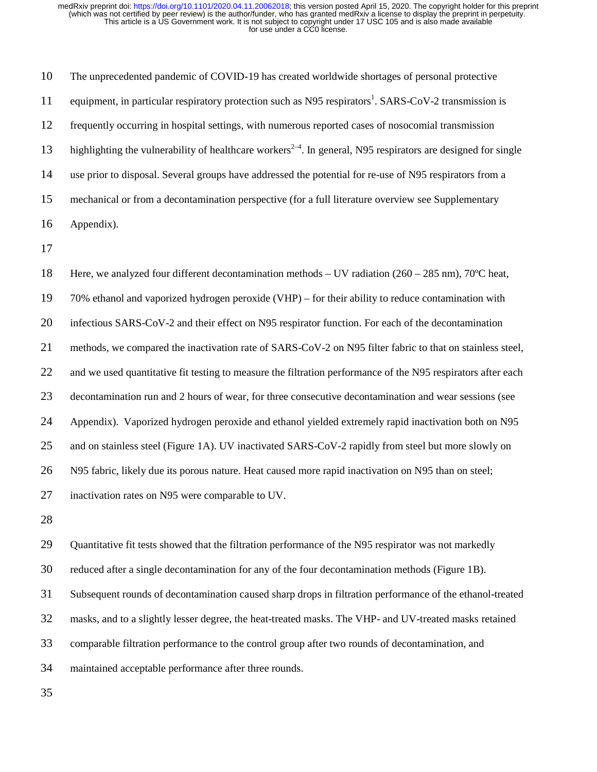10 The unprecedented pandemic of COVID-19 has created worldwide shortages of personal protective 11 equipment, in particular respiratory protection such as N95 respirators<sup>1</sup>. SARS-CoV-2 transmission is 12 frequently occurring in hospital settings, with numerous reported cases of nosocomial transmission highlighting the vulnerability of healthcare workers<sup> $2-4$ </sup>. In general, N95 respirators are designed for single 14 use prior to disposal. Several groups have addressed the potential for re-use of N95 respirators from a 15 mechanical or from a decontamination perspective (for a full literature overview see Supplementary 16 Appendix).

17

18 Here, we analyzed four different decontamination methods – UV radiation (260 – 285 nm), 70ºC heat, 19 70% ethanol and vaporized hydrogen peroxide (VHP) – for their ability to reduce contamination with 20 infectious SARS-CoV-2 and their effect on N95 respirator function. For each of the decontamination 21 methods, we compared the inactivation rate of SARS-CoV-2 on N95 filter fabric to that on stainless steel, 22 and we used quantitative fit testing to measure the filtration performance of the N95 respirators after each 23 decontamination run and 2 hours of wear, for three consecutive decontamination and wear sessions (see 24 Appendix). Vaporized hydrogen peroxide and ethanol yielded extremely rapid inactivation both on N95 25 and on stainless steel (Figure 1A). UV inactivated SARS-CoV-2 rapidly from steel but more slowly on 26 N95 fabric, likely due its porous nature. Heat caused more rapid inactivation on N95 than on steel; 27 inactivation rates on N95 were comparable to UV.

28

29 Quantitative fit tests showed that the filtration performance of the N95 respirator was not markedly

30 reduced after a single decontamination for any of the four decontamination methods (Figure 1B).

31 Subsequent rounds of decontamination caused sharp drops in filtration performance of the ethanol-treated

32 masks, and to a slightly lesser degree, the heat-treated masks. The VHP- and UV-treated masks retained

33 comparable filtration performance to the control group after two rounds of decontamination, and

34 maintained acceptable performance after three rounds.

35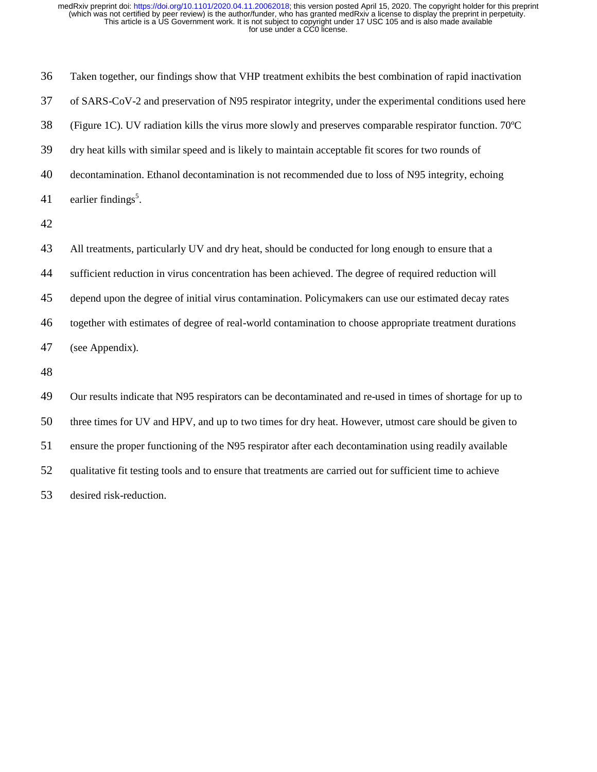| 36 | Taken together, our findings show that VHP treatment exhibits the best combination of rapid inactivation   |
|----|------------------------------------------------------------------------------------------------------------|
| 37 | of SARS-CoV-2 and preservation of N95 respirator integrity, under the experimental conditions used here    |
| 38 | (Figure 1C). UV radiation kills the virus more slowly and preserves comparable respirator function. 70°C   |
| 39 | dry heat kills with similar speed and is likely to maintain acceptable fit scores for two rounds of        |
| 40 | decontamination. Ethanol decontamination is not recommended due to loss of N95 integrity, echoing          |
| 41 | earlier findings <sup>5</sup> .                                                                            |
| 42 |                                                                                                            |
| 43 | All treatments, particularly UV and dry heat, should be conducted for long enough to ensure that a         |
| 44 | sufficient reduction in virus concentration has been achieved. The degree of required reduction will       |
| 45 | depend upon the degree of initial virus contamination. Policymakers can use our estimated decay rates      |
| 46 | together with estimates of degree of real-world contamination to choose appropriate treatment durations    |
| 47 | (see Appendix).                                                                                            |
| 48 |                                                                                                            |
| 49 | Our results indicate that N95 respirators can be decontaminated and re-used in times of shortage for up to |
| 50 | three times for UV and HPV, and up to two times for dry heat. However, utmost care should be given to      |
| 51 | ensure the proper functioning of the N95 respirator after each decontamination using readily available     |
| 52 | qualitative fit testing tools and to ensure that treatments are carried out for sufficient time to achieve |

53 desired risk-reduction.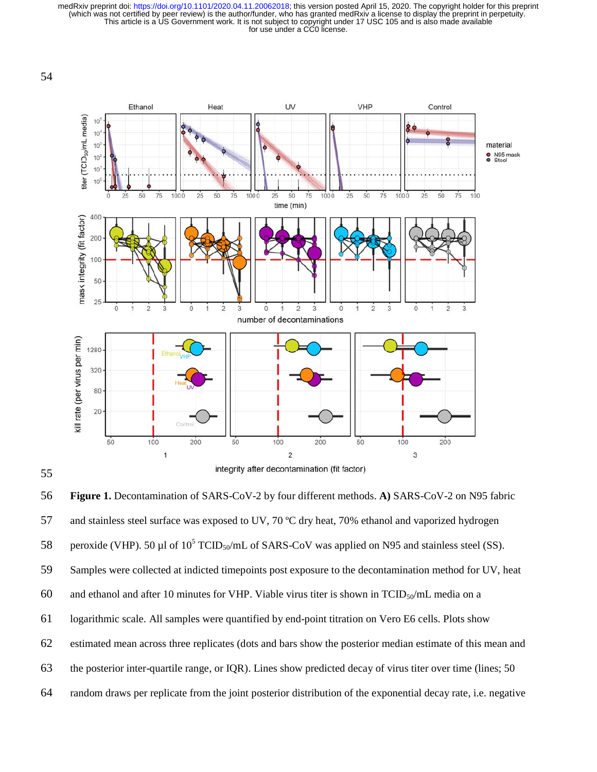

56 **Figure 1.** Decontamination of SARS-CoV-2 by four different methods. **A)** SARS-CoV-2 on N95 fabric 57 and stainless steel surface was exposed to UV, 70 °C dry heat, 70% ethanol and vaporized hydrogen 58 peroxide (VHP). 50 µl of  $10^5$  TCID<sub>50</sub>/mL of SARS-CoV was applied on N95 and stainless steel (SS). 59 Samples were collected at indicted timepoints post exposure to the decontamination method for UV, heat 60 and ethanol and after 10 minutes for VHP. Viable virus titer is shown in  $TCID_{50}/mL$  media on a 61 logarithmic scale. All samples were quantified by end-point titration on Vero E6 cells. Plots show 62 estimated mean across three replicates (dots and bars show the posterior median estimate of this mean and 63 the posterior inter-quartile range, or IQR). Lines show predicted decay of virus titer over time (lines; 50 64 random draws per replicate from the joint posterior distribution of the exponential decay rate, i.e. negative

55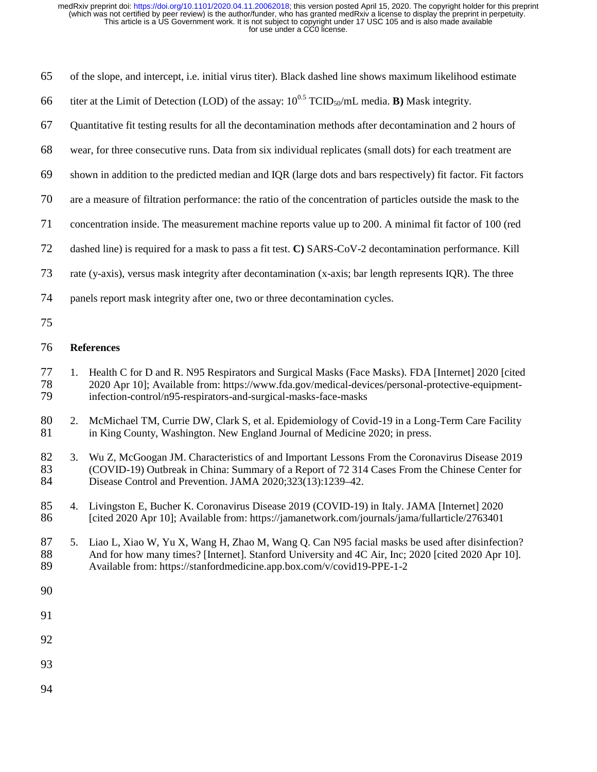- 65 of the slope, and intercept, i.e. initial virus titer). Black dashed line shows maximum likelihood estimate
- 66 titer at the Limit of Detection (LOD) of the assay:  $10^{0.5}$  TCID<sub>50</sub>/mL media. **B**) Mask integrity.
- 67 Quantitative fit testing results for all the decontamination methods after decontamination and 2 hours of
- 68 wear, for three consecutive runs. Data from six individual replicates (small dots) for each treatment are
- 69 shown in addition to the predicted median and IQR (large dots and bars respectively) fit factor. Fit factors
- 70 are a measure of filtration performance: the ratio of the concentration of particles outside the mask to the
- 71 concentration inside. The measurement machine reports value up to 200. A minimal fit factor of 100 (red
- 72 dashed line) is required for a mask to pass a fit test. **C)** SARS-CoV-2 decontamination performance. Kill
- 73 rate (y-axis), versus mask integrity after decontamination (x-axis; bar length represents IQR). The three
- 74 panels report mask integrity after one, two or three decontamination cycles.
- 75

## 76 **References**

- 77 1. Health C for D and R. N95 Respirators and Surgical Masks (Face Masks). FDA [Internet] 2020 [cited 78 2020 Apr 10]; Available from: https://www.fda.gov/medical-devices/personal-protective-equipmentinfection-control/n95-respirators-and-surgical-masks-face-masks
- 80 2. McMichael TM, Currie DW, Clark S, et al. Epidemiology of Covid-19 in a Long-Term Care Facility 81 in King County, Washington. New England Journal of Medicine 2020; in press.
- 82 3. Wu Z, McGoogan JM. Characteristics of and Important Lessons From the Coronavirus Disease 2019<br>83 (COVID-19) Outbreak in China: Summary of a Report of 72 314 Cases From the Chinese Center for 83 (COVID-19) Outbreak in China: Summary of a Report of 72 314 Cases From the Chinese Center for 84 Disease Control and Prevention. JAMA 2020;323(13):1239–42.
- 85 4. Livingston E, Bucher K. Coronavirus Disease 2019 (COVID-19) in Italy. JAMA [Internet] 2020 86 [cited 2020 Apr 10]; Available from: https://jamanetwork.com/journals/jama/fullarticle/2763401
- 87 5. Liao L, Xiao W, Yu X, Wang H, Zhao M, Wang Q. Can N95 facial masks be used after disinfection? 88 And for how many times? [Internet]. Stanford University and 4C Air, Inc; 2020 [cited 2020 Apr 10]. 89 Available from: https://stanfordmedicine.app.box.com/v/covid19-PPE-1-2
- 90
- 91
- 92
- 93
- 94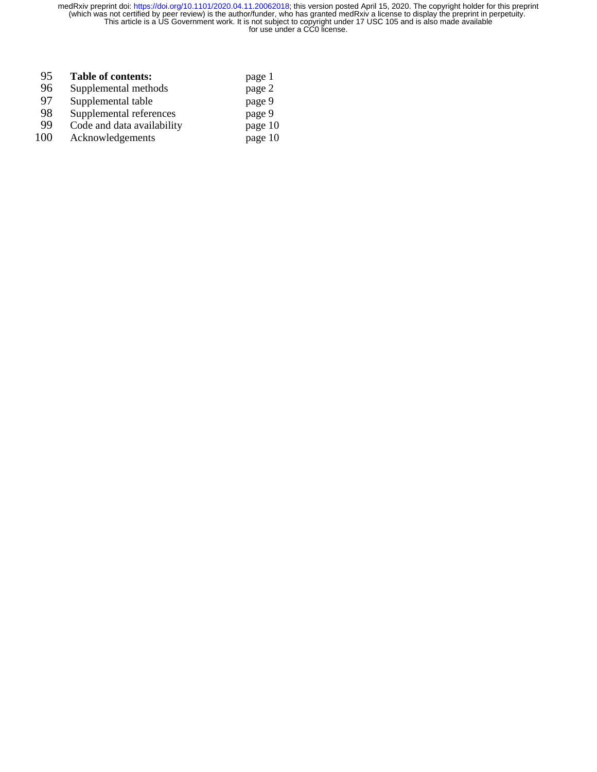| 95  | Table of contents:         | page 1  |
|-----|----------------------------|---------|
| 96  | Supplemental methods       | page 2  |
| 97  | Supplemental table         | page 9  |
| 98  | Supplemental references    | page 9  |
| 99  | Code and data availability | page 10 |
| 100 | Acknowledgements           | page 10 |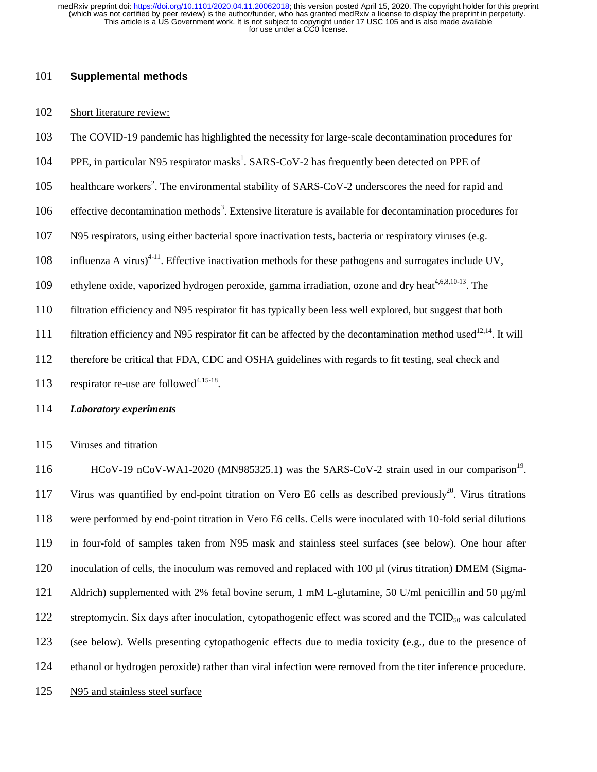## 101 **Supplemental methods**

## 102 Short literature review:

- 103 The COVID-19 pandemic has highlighted the necessity for large-scale decontamination procedures for
- 104 PPE, in particular N95 respirator masks<sup>1</sup>. SARS-CoV-2 has frequently been detected on PPE of
- 105 healthcare workers<sup>2</sup>. The environmental stability of SARS-CoV-2 underscores the need for rapid and
- 106 effective decontamination methods<sup>3</sup>. Extensive literature is available for decontamination procedures for
- 107 N95 respirators, using either bacterial spore inactivation tests, bacteria or respiratory viruses (e.g.
- 108 influenza A virus)<sup>4-11</sup>. Effective inactivation methods for these pathogens and surrogates include UV,
- 109 ethylene oxide, vaporized hydrogen peroxide, gamma irradiation, ozone and dry heat<sup>4,6,8,10-13</sup>. The
- 110 filtration efficiency and N95 respirator fit has typically been less well explored, but suggest that both
- 111 filtration efficiency and N95 respirator fit can be affected by the decontamination method used<sup>12,14</sup>. It will
- 112 therefore be critical that FDA, CDC and OSHA guidelines with regards to fit testing, seal check and
- 113 respirator re-use are followed<sup>4,15-18</sup>.
- 114 *Laboratory experiments*

#### 115 Viruses and titration

 $HCOV-19$  nCoV-WA1-2020 (MN985325.1) was the SARS-CoV-2 strain used in our comparison<sup>19</sup>. 117 Virus was quantified by end-point titration on Vero E6 cells as described previously<sup>20</sup>. Virus titrations 118 were performed by end-point titration in Vero E6 cells. Cells were inoculated with 10-fold serial dilutions 119 in four-fold of samples taken from N95 mask and stainless steel surfaces (see below). One hour after 120 inoculation of cells, the inoculum was removed and replaced with 100 µl (virus titration) DMEM (Sigma-121 Aldrich) supplemented with 2% fetal bovine serum, 1 mM L-glutamine, 50 U/ml penicillin and 50 µg/ml 122 streptomycin. Six days after inoculation, cytopathogenic effect was scored and the  $TCID<sub>50</sub>$  was calculated 123 (see below). Wells presenting cytopathogenic effects due to media toxicity (e.g., due to the presence of 124 ethanol or hydrogen peroxide) rather than viral infection were removed from the titer inference procedure.

125 N95 and stainless steel surface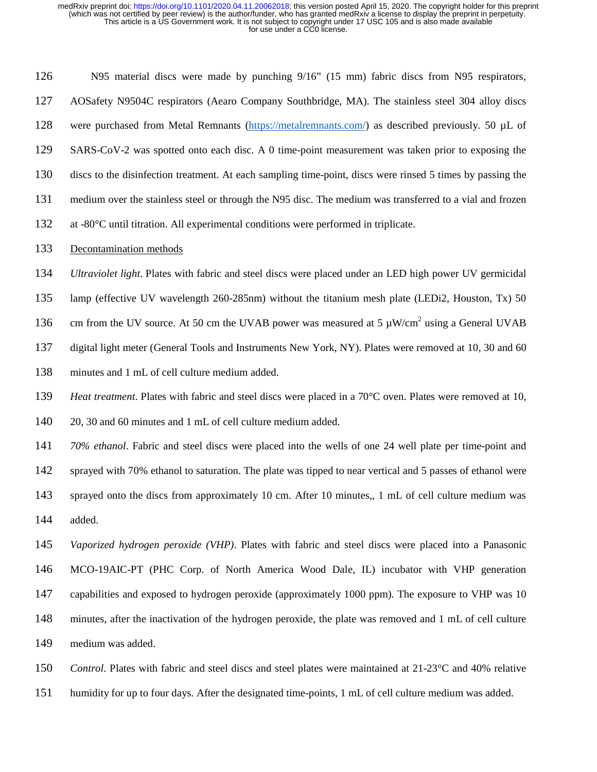126 N95 material discs were made by punching 9/16" (15 mm) fabric discs from N95 respirators, 127 AOSafety N9504C respirators (Aearo Company Southbridge, MA). The stainless steel 304 alloy discs 128 were purchased from Metal Remnants (https://metalremnants.com/) as described previously. 50 µL of 129 SARS-CoV-2 was spotted onto each disc. A 0 time-point measurement was taken prior to exposing the 130 discs to the disinfection treatment. At each sampling time-point, discs were rinsed 5 times by passing the 131 medium over the stainless steel or through the N95 disc. The medium was transferred to a vial and frozen 132 at -80°C until titration. All experimental conditions were performed in triplicate. 133 Decontamination methods 134 *Ultraviolet light*. Plates with fabric and steel discs were placed under an LED high power UV germicidal 135 lamp (effective UV wavelength 260-285nm) without the titanium mesh plate (LEDi2, Houston, Tx) 50 136 cm from the UV source. At 50 cm the UVAB power was measured at 5  $\mu$ W/cm<sup>2</sup> using a General UVAB 137 digital light meter (General Tools and Instruments New York, NY). Plates were removed at 10, 30 and 60 138 minutes and 1 mL of cell culture medium added. 139 *Heat treatment*. Plates with fabric and steel discs were placed in a 70°C oven. Plates were removed at 10, 140 20, 30 and 60 minutes and 1 mL of cell culture medium added.

141 *70% ethanol*. Fabric and steel discs were placed into the wells of one 24 well plate per time-point and 142 sprayed with 70% ethanol to saturation. The plate was tipped to near vertical and 5 passes of ethanol were 143 sprayed onto the discs from approximately 10 cm. After 10 minutes,, 1 mL of cell culture medium was 144 added.

145 *Vaporized hydrogen peroxide (VHP)*. Plates with fabric and steel discs were placed into a Panasonic 146 MCO-19AIC-PT (PHC Corp. of North America Wood Dale, IL) incubator with VHP generation 147 capabilities and exposed to hydrogen peroxide (approximately 1000 ppm). The exposure to VHP was 10 148 minutes, after the inactivation of the hydrogen peroxide, the plate was removed and 1 mL of cell culture 149 medium was added.

150 *Control*. Plates with fabric and steel discs and steel plates were maintained at 21-23°C and 40% relative 151 humidity for up to four days. After the designated time-points, 1 mL of cell culture medium was added.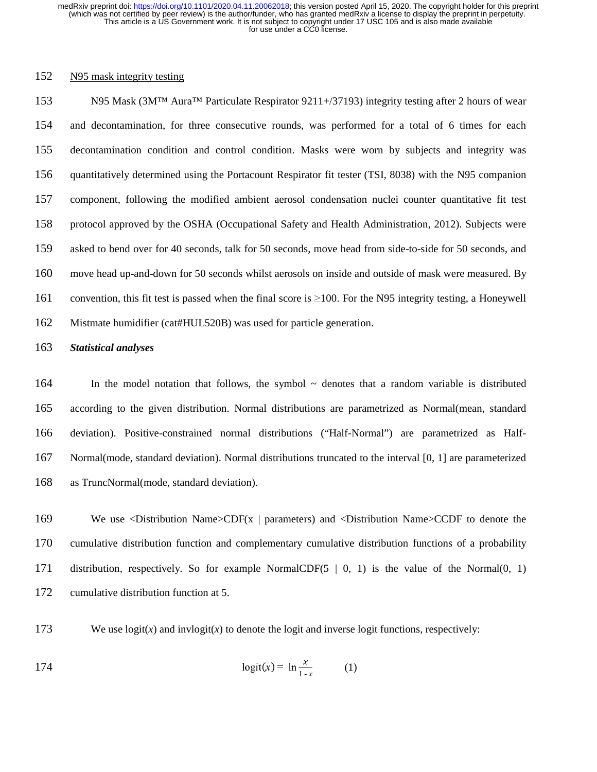## 152 N95 mask integrity testing

153 N95 Mask (3M™ Aura™ Particulate Respirator 9211+/37193) integrity testing after 2 hours of wear 154 and decontamination, for three consecutive rounds, was performed for a total of 6 times for each 155 decontamination condition and control condition. Masks were worn by subjects and integrity was 156 quantitatively determined using the Portacount Respirator fit tester (TSI, 8038) with the N95 companion 157 component, following the modified ambient aerosol condensation nuclei counter quantitative fit test 158 protocol approved by the OSHA (Occupational Safety and Health Administration, 2012). Subjects were 159 asked to bend over for 40 seconds, talk for 50 seconds, move head from side-to-side for 50 seconds, and 160 move head up-and-down for 50 seconds whilst aerosols on inside and outside of mask were measured. By 161 convention, this fit test is passed when the final score is ≥100. For the N95 integrity testing, a Honeywell 162 Mistmate humidifier (cat#HUL520B) was used for particle generation.

### 163 *Statistical analyses*

164 In the model notation that follows, the symbol ~ denotes that a random variable is distributed 165 according to the given distribution. Normal distributions are parametrized as Normal(mean, standard 166 deviation). Positive-constrained normal distributions ("Half-Normal") are parametrized as Half-167 Normal(mode, standard deviation). Normal distributions truncated to the interval [0, 1] are parameterized 168 as TruncNormal(mode, standard deviation).

169 We use <Distribution Name>CDF(x | parameters) and <Distribution Name>CCDF to denote the 170 cumulative distribution function and complementary cumulative distribution functions of a probability 171 distribution, respectively. So for example NormalCDF(5 | 0, 1) is the value of the Normal(0, 1) 172 cumulative distribution function at 5.

173 We use  $logit(x)$  and  $invlogit(x)$  to denote the logit and inverse logit functions, respectively:

174 
$$
\log \text{it}(x) = \ln \frac{x}{1-x}
$$
 (1)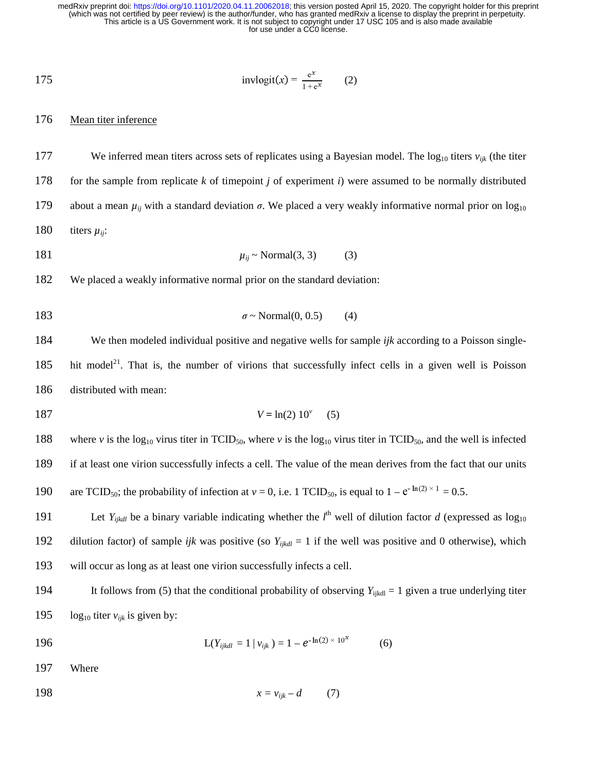invlogitx- = e 1 + e 175 (2)

## 176 Mean titer inference

177 We inferred mean titers across sets of replicates using a Bayesian model. The log<sub>10</sub> titers  $v_{ijk}$  (the titer 178 for the sample from replicate *k* of timepoint *j* of experiment *i*) were assumed to be normally distributed 179 about a mean  $\mu_{ij}$  with a standard deviation  $\sigma$ . We placed a very weakly informative normal prior on log<sub>10</sub> 180 titers  $\mu_{ii}$ :

181 
$$
\mu_{ij} \sim \text{Normal}(3, 3) \tag{3}
$$

182 We placed a weakly informative normal prior on the standard deviation:

183 
$$
\sigma \sim \text{Normal}(0, 0.5) \tag{4}
$$

184 We then modeled individual positive and negative wells for sample *ijk* according to a Poisson single-185 hit model<sup>21</sup>. That is, the number of virions that successfully infect cells in a given well is Poisson 186 distributed with mean:

187  $V = \ln(2) 10^{v} (5)$ 

188 where *v* is the log<sub>10</sub> virus titer in TCID<sub>50</sub>, where *v* is the log<sub>10</sub> virus titer in TCID<sub>50</sub>, and the well is infected 189 if at least one virion successfully infects a cell. The value of the mean derives from the fact that our units 190 are TCID<sub>50</sub>; the probability of infection at  $v = 0$ , i.e. 1 TCID<sub>50</sub>, is equal to  $1 - e^{-\ln(2) \times 1} = 0.5$ .

191 Let  $Y_{ijkl}$  be a binary variable indicating whether the  $l^{\text{th}}$  well of dilution factor *d* (expressed as  $\log_{10}$ 192 dilution factor) of sample *ijk* was positive (so  $Y_{ijkl} = 1$  if the well was positive and 0 otherwise), which 193 will occur as long as at least one virion successfully infects a cell.

194 It follows from (5) that the conditional probability of observing  $Y_{ijkl} = 1$  given a true underlying titer 195 log<sub>10</sub> titer  $v_{ijk}$  is given by:

- 196  $L(Y_{ijkl} = 1 | v_{ijk}) = 1 e^{-\ln(2) \times 10^{x}}$  (6)
- 197 Where
- 198  $x = v_{ijk} d$  (7)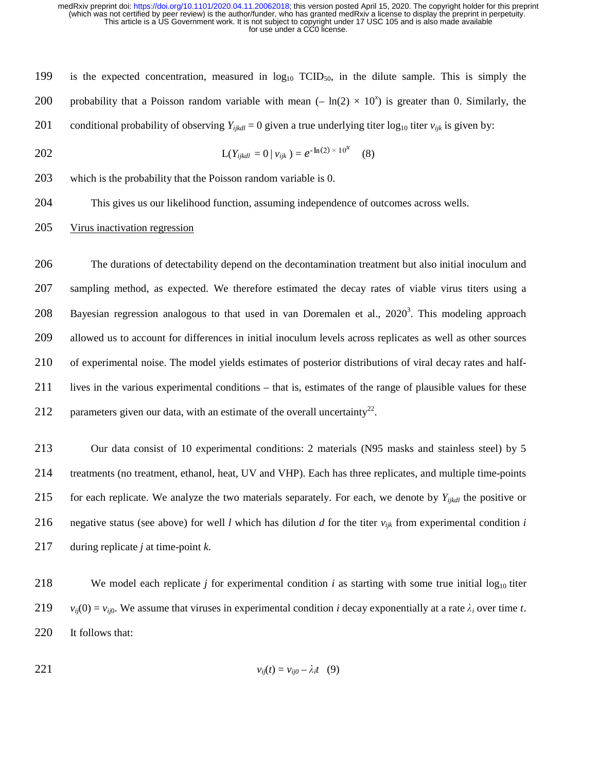199 is the expected concentration, measured in  $log_{10} TCD_{50}$ , in the dilute sample. This is simply the 200 probability that a Poisson random variable with mean  $(-\ln(2) \times 10^x)$  is greater than 0. Similarly, the 201 conditional probability of observing  $Y_{ijkl} = 0$  given a true underlying titer  $log_{10}$  titer  $v_{ijk}$  is given by:

202 
$$
L(Y_{ijkl} = 0 \mid v_{ijk}) = e^{-\ln(2) \times 10^{x}}
$$
 (8)

203 which is the probability that the Poisson random variable is 0.

204 This gives us our likelihood function, assuming independence of outcomes across wells.

# 205 Virus inactivation regression

206 The durations of detectability depend on the decontamination treatment but also initial inoculum and 207 sampling method, as expected. We therefore estimated the decay rates of viable virus titers using a 208 Bayesian regression analogous to that used in van Doremalen et al.,  $2020<sup>3</sup>$ . This modeling approach 209 allowed us to account for differences in initial inoculum levels across replicates as well as other sources 210 of experimental noise. The model yields estimates of posterior distributions of viral decay rates and half-211 lives in the various experimental conditions – that is, estimates of the range of plausible values for these 212 parameters given our data, with an estimate of the overall uncertainty<sup>22</sup>.

213 Our data consist of 10 experimental conditions: 2 materials (N95 masks and stainless steel) by 5 214 treatments (no treatment, ethanol, heat, UV and VHP). Each has three replicates, and multiple time-points 15 for each replicate. We analyze the two materials separately. For each, we denote by  $Y_{ijkl}$  the positive or 216 negative status (see above) for well *l* which has dilution *d* for the titer *vijk* from experimental condition *i* 217 during replicate *j* at time-point *k*.

218 We model each replicate *j* for experimental condition *i* as starting with some true initial  $\log_{10}$  titer 219  $v_{ij}(0) = v_{ij0}$ . We assume that viruses in experimental condition *i* decay exponentially at a rate  $\lambda_i$  over time *t*. 220 It follows that:

$$
v_{ij}(t) = v_{ij0} - \lambda_i t \quad (9)
$$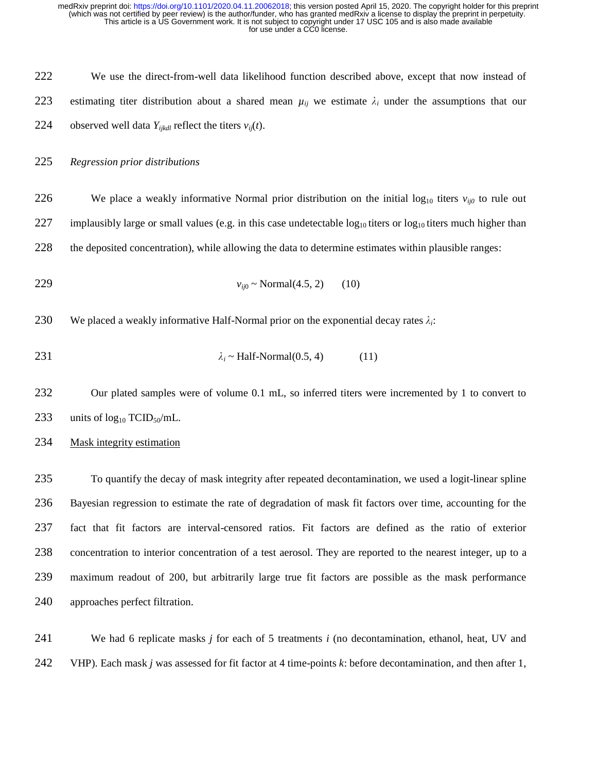222 We use the direct-from-well data likelihood function described above, except that now instead of 223 estimating titer distribution about a shared mean  $\mu_{ij}$  we estimate  $\lambda_i$  under the assumptions that our 224 observed well data  $Y_{ijkl}$  reflect the titers  $v_{ij}(t)$ .

225 *Regression prior distributions* 

226 We place a weakly informative Normal prior distribution on the initial log<sub>10</sub> titers  $v_{ij0}$  to rule out 227 implausibly large or small values (e.g. in this case undetectable  $log_{10}$  titers or  $log_{10}$  titers much higher than 228 the deposited concentration), while allowing the data to determine estimates within plausible ranges:

229  $v_{ii0} \sim \text{Normal}(4.5, 2)$  (10)

230 We placed a weakly informative Half-Normal prior on the exponential decay rates  $\lambda_i$ :

$$
\lambda_i \sim \text{Half-Normal}(0.5, 4) \tag{11}
$$

232 Our plated samples were of volume 0.1 mL, so inferred titers were incremented by 1 to convert to 233 units of  $log_{10} TCID_{50}/mL$ .

### 234 Mask integrity estimation

235 To quantify the decay of mask integrity after repeated decontamination, we used a logit-linear spline 236 Bayesian regression to estimate the rate of degradation of mask fit factors over time, accounting for the 237 fact that fit factors are interval-censored ratios. Fit factors are defined as the ratio of exterior 238 concentration to interior concentration of a test aerosol. They are reported to the nearest integer, up to a 239 maximum readout of 200, but arbitrarily large true fit factors are possible as the mask performance 240 approaches perfect filtration.

241 We had 6 replicate masks *j* for each of 5 treatments *i* (no decontamination, ethanol, heat, UV and 242 VHP). Each mask *j* was assessed for fit factor at 4 time-points *k*: before decontamination, and then after 1,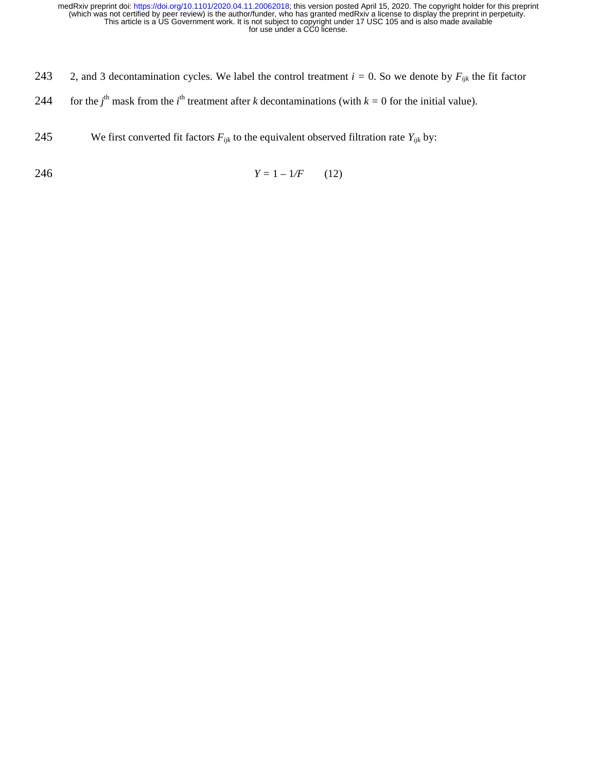- 243 2, and 3 decontamination cycles. We label the control treatment  $i = 0$ . So we denote by  $F_{ijk}$  the fit factor
- 244 for the *j*<sup>th</sup> mask from the *i*<sup>th</sup> treatment after *k* decontaminations (with  $k = 0$  for the initial value).
- 245 We first converted fit factors  $F_{ijk}$  to the equivalent observed filtration rate  $Y_{ijk}$  by:

$$
Y = 1 - 1/F \qquad (12)
$$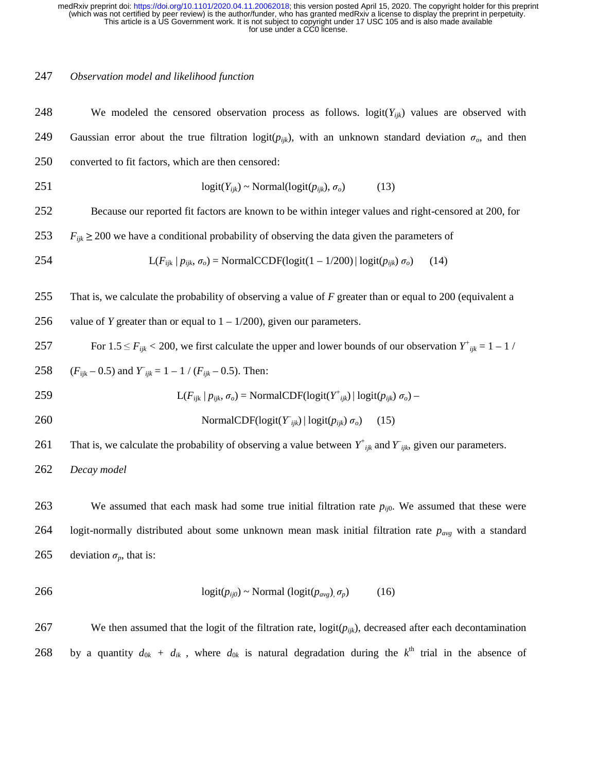#### 247 *Observation model and likelihood function*

248 We modeled the censored observation process as follows. logit(*Yijk*) values are observed with 249 Gaussian error about the true filtration logit( $p_{ijk}$ ), with an unknown standard deviation  $\sigma_o$ , and then 250 converted to fit factors, which are then censored:  $251$  logit( $Y_{ijk}$ ) ~ Normal(logit( $p_{ijk}$ ),  $\sigma_o$ ) (13) 252 Because our reported fit factors are known to be within integer values and right-censored at 200, for 253  $F_{ijk} \geq 200$  we have a conditional probability of observing the data given the parameters of 254  $L(F_{ijk} | p_{ijk}, \sigma_o) = \text{NormalCCDF}(\text{logit}(1 - 1/200) | \text{logit}(p_{ijk}) \sigma_o)$  (14) 255 That is, we calculate the probability of observing a value of *F* greater than or equal to 200 (equivalent a 256 value of *Y* greater than or equal to  $1 - 1/200$ , given our parameters. For  $1.5 \le F_{ijk} < 200$ , we first calculate the upper and lower bounds of our observation  $Y^+_{ijk} = 1 - 1$  / 258 *(F<sub>ijk</sub>* – 0.5) and  $Y_{ijk} = 1 - 1 / (F_{ijk} - 0.5)$ . Then: 259  $L(F_{ijk} | p_{ijk}, \sigma_o) = \text{NormalCDF}(\text{logit}(Y^+_{ijk}) | \text{logit}(p_{ijk}) \sigma_o) -$ 260  $\text{NormalCDF}(\text{logit}(Y_{ijk}) | \text{logit}(p_{ijk}) \sigma_o)$  (15) 261 That is, we calculate the probability of observing a value between  $Y^{\dagger}_{ijk}$  and  $Y_{ijk}$ , given our parameters. 262 *Decay model*  263 We assumed that each mask had some true initial filtration rate  $p_{ij0}$ . We assumed that these were 264 logit-normally distributed about some unknown mean mask initial filtration rate *pavg* with a standard 265 deviation  $\sigma_p$ , that is:  $266$  logit( $p_{ij0}$ ) ~ Normal (logit( $p_{avg}$ ),  $\sigma_p$ ) (16)

267 We then assumed that the logit of the filtration rate, logit(*pijk*), decreased after each decontamination 268 by a quantity  $d_{0k} + d_{ik}$ , where  $d_{0k}$  is natural degradation during the  $k^{\text{th}}$  trial in the absence of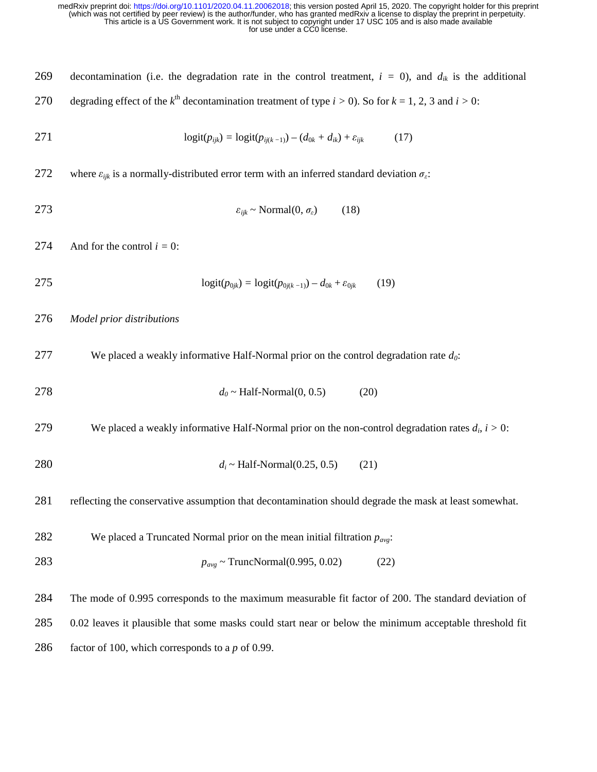269 decontamination (i.e. the degradation rate in the control treatment,  $i = 0$ ), and  $d_{ik}$  is the additional 270 degrading effect of the  $k^{\text{th}}$  decontamination treatment of type  $i > 0$ ). So for  $k = 1, 2, 3$  and  $i > 0$ : 271 logit( $p_{ijk}$ ) =  $\text{logit}(p_{ijk(k-1)}) - (d_{0k} + d_{ik}) + \varepsilon_{ijk}$  (17) 272 where  $\varepsilon_{ijk}$  is a normally-distributed error term with an inferred standard deviation  $\sigma_{\varepsilon}$ : 273  $\varepsilon_{ijk} \sim \text{Normal}(0, \sigma_{\epsilon})$  (18) 274 And for the control  $i = 0$ : 275  $\logit(p_{0jk}) = \logit(p_{0j(k-1)}) - d_{0k} + \varepsilon_{0jk}$  (19) 276 *Model prior distributions*  277 We placed a weakly informative Half-Normal prior on the control degradation rate  $d_0$ : 278  $d_0 \sim \text{Half-Normal}(0, 0.5)$  (20) We placed a weakly informative Half-Normal prior on the non-control degradation rates  $d_i$ ,  $i > 0$ : 280 *d<sub>i</sub>* ~ Half-Normal(0.25, 0.5) (21) 281 reflecting the conservative assumption that decontamination should degrade the mask at least somewhat. 282 We placed a Truncated Normal prior on the mean initial filtration  $p_{avg}$ : 283 *pavg* ~ TruncNormal(0.995, 0.02) (22) 284 The mode of 0.995 corresponds to the maximum measurable fit factor of 200. The standard deviation of 285 0.02 leaves it plausible that some masks could start near or below the minimum acceptable threshold fit 286 factor of 100, which corresponds to a *p* of 0.99.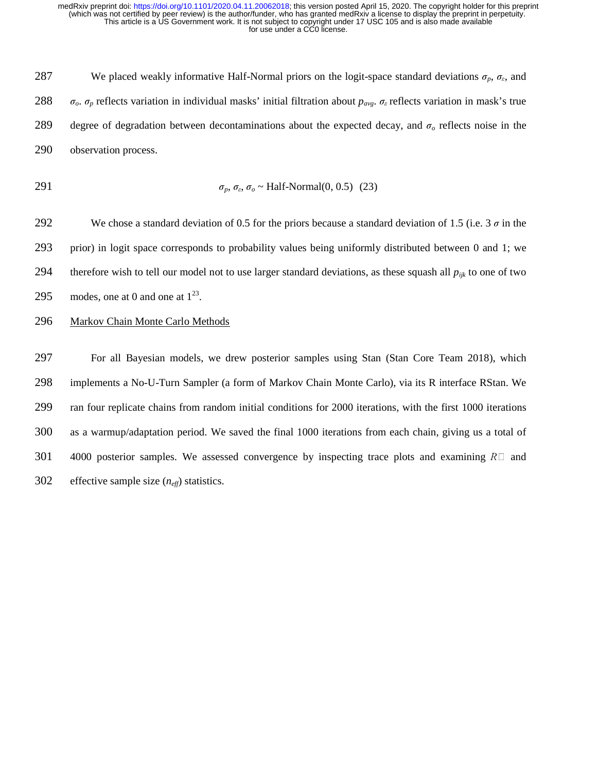287 We placed weakly informative Half-Normal priors on the logit-space standard deviations  $\sigma_p$ ,  $\sigma_s$ , and 288  $\sigma_o$ .  $\sigma_p$  reflects variation in individual masks' initial filtration about  $p_{avg}$ .  $\sigma_g$  reflects variation in mask's true 289 degree of degradation between decontaminations about the expected decay, and σ*<sup>o</sup>* reflects noise in the 290 observation process.

291 
$$
\sigma_p
$$
,  $\sigma_e$ ,  $\sigma_o \sim \text{Half-Normal}(0, 0.5)$  (23)

292 We chose a standard deviation of 0.5 for the priors because a standard deviation of 1.5 (i.e.  $3\sigma$  in the 293 prior) in logit space corresponds to probability values being uniformly distributed between 0 and 1; we 294 therefore wish to tell our model not to use larger standard deviations, as these squash all  $p_{ijk}$  to one of two 295 modes, one at 0 and one at  $1^{23}$ .

# 296 Markov Chain Monte Carlo Methods

297 For all Bayesian models, we drew posterior samples using Stan (Stan Core Team 2018), which 298 implements a No-U-Turn Sampler (a form of Markov Chain Monte Carlo), via its R interface RStan. We 299 ran four replicate chains from random initial conditions for 2000 iterations, with the first 1000 iterations 300 as a warmup/adaptation period. We saved the final 1000 iterations from each chain, giving us a total of 301 4000 posterior samples. We assessed convergence by inspecting trace plots and examining  $R\Box$  and 302 effective sample size (*neff*) statistics.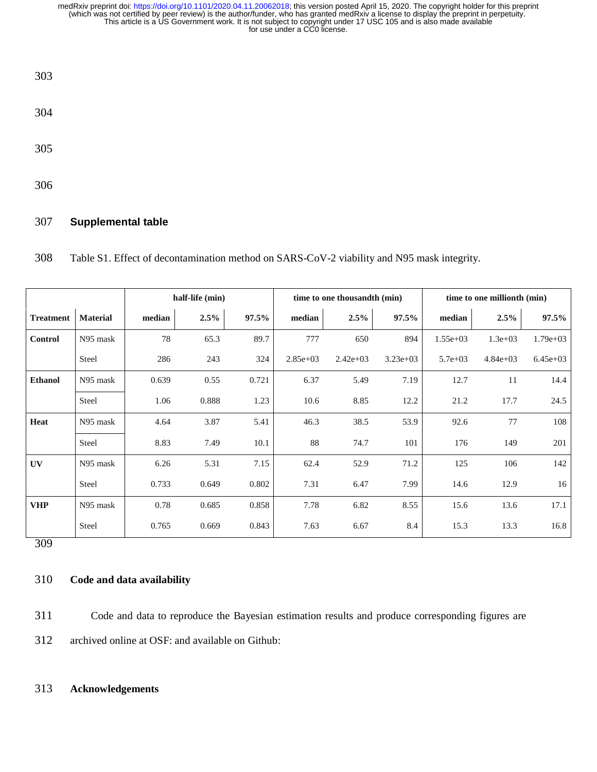- 303 304 305
- 306

# 307 **Supplemental table**

308 Table S1. Effect of decontamination method on SARS-CoV-2 viability and N95 mask integrity.

|                  |                 | half-life (min) |       |       | time to one thousandth (min) |            |            | time to one millionth (min) |            |            |
|------------------|-----------------|-----------------|-------|-------|------------------------------|------------|------------|-----------------------------|------------|------------|
| <b>Treatment</b> | <b>Material</b> | median          | 2.5%  | 97.5% | median                       | 2.5%       | 97.5%      | median                      | 2.5%       | 97.5%      |
| Control          | N95 mask        | 78              | 65.3  | 89.7  | 777                          | 650        | 894        | $1.55e+03$                  | $1.3e+03$  | $1.79e+03$ |
|                  | Steel           | 286             | 243   | 324   | $2.85e+03$                   | $2.42e+03$ | $3.23e+03$ | $5.7e + 03$                 | $4.84e+03$ | $6.45e+03$ |
| <b>Ethanol</b>   | N95 mask        | 0.639           | 0.55  | 0.721 | 6.37                         | 5.49       | 7.19       | 12.7                        | 11         | 14.4       |
|                  | Steel           | 1.06            | 0.888 | 1.23  | 10.6                         | 8.85       | 12.2       | 21.2                        | 17.7       | 24.5       |
| <b>Heat</b>      | N95 mask        | 4.64            | 3.87  | 5.41  | 46.3                         | 38.5       | 53.9       | 92.6                        | 77         | 108        |
|                  | Steel           | 8.83            | 7.49  | 10.1  | 88                           | 74.7       | 101        | 176                         | 149        | 201        |
| UV               | N95 mask        | 6.26            | 5.31  | 7.15  | 62.4                         | 52.9       | 71.2       | 125                         | 106        | 142        |
|                  | Steel           | 0.733           | 0.649 | 0.802 | 7.31                         | 6.47       | 7.99       | 14.6                        | 12.9       | 16         |
| <b>VHP</b>       | N95 mask        | 0.78            | 0.685 | 0.858 | 7.78                         | 6.82       | 8.55       | 15.6                        | 13.6       | 17.1       |
|                  | Steel           | 0.765           | 0.669 | 0.843 | 7.63                         | 6.67       | 8.4        | 15.3                        | 13.3       | 16.8       |

309

# 310 **Code and data availability**

311 Code and data to reproduce the Bayesian estimation results and produce corresponding figures are

312 archived online at OSF: and available on Github:

# 313 **Acknowledgements**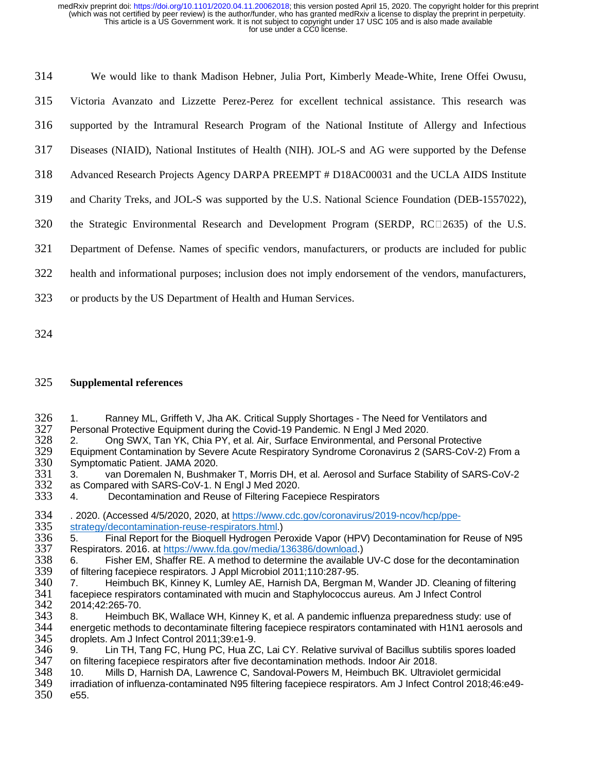314 We would like to thank Madison Hebner, Julia Port, Kimberly Meade-White, Irene Offei Owusu, 315 Victoria Avanzato and Lizzette Perez-Perez for excellent technical assistance. This research was 316 supported by the Intramural Research Program of the National Institute of Allergy and Infectious 317 Diseases (NIAID), National Institutes of Health (NIH). JOL-S and AG were supported by the Defense 318 Advanced Research Projects Agency DARPA PREEMPT # D18AC00031 and the UCLA AIDS Institute 319 and Charity Treks, and JOL-S was supported by the U.S. National Science Foundation (DEB-1557022), 320 the Strategic Environmental Research and Development Program (SERDP,  $RC\square$ 2635) of the U.S. 321 Department of Defense. Names of specific vendors, manufacturers, or products are included for public 322 health and informational purposes; inclusion does not imply endorsement of the vendors, manufacturers,

- 323 or products by the US Department of Health and Human Services.
- 324

## 325 **Supplemental references**

- 326 1. Ranney ML, Griffeth V, Jha AK. Critical Supply Shortages The Need for Ventilators and 327 Personal Protective Equipment during the Covid-19 Pandemic. N Engl J Med 2020. 327 Personal Protective Equipment during the Covid-19 Pandemic. N Engl J Med 2020.<br>328 2. Chang SWX, Tan YK, Chia PY, et al. Air, Surface Environmental, and Persona
- 328 2. Ong SWX, Tan YK, Chia PY, et al. Air, Surface Environmental, and Personal Protective<br>329 Equipment Contamination by Severe Acute Respiratory Syndrome Coronavirus 2 (SARS-CoV-2)
- 329 Equipment Contamination by Severe Acute Respiratory Syndrome Coronavirus 2 (SARS-CoV-2) From a 330 Symptomatic Patient. JAMA 2020.
- 331 3. van Doremalen N, Bushmaker T, Morris DH, et al. Aerosol and Surface Stability of SARS-CoV-2<br>332 as Compared with SARS-CoV-1. N Engl J Med 2020. 332 as Compared with SARS-CoV-1. N Engl J Med 2020.
- 4. Decontamination and Reuse of Filtering Facepiece Respirators
- 334 . 2020. (Accessed 4/5/2020, 2020, at https://www.cdc.gov/coronavirus/2019-ncov/hcp/ppe-<br>335 strategy/decontamination-reuse-respirators.html.)
- 335 strategy/decontamination-reuse-respirators.html.)<br>336 5. Final Report for the Bioquell Hydrogen Pe 336 5. Final Report for the Bioquell Hydrogen Peroxide Vapor (HPV) Decontamination for Reuse of N95<br>337 Respirators. 2016. at https://www.fda.gov/media/136386/download.) 337 Respirators. 2016. at https://www.fda.gov/media/136386/download.)<br>338 6. Fisher EM, Shaffer RE. A method to determine the available
- 338 6. Fisher EM, Shaffer RE. A method to determine the available UV-C dose for the decontamination<br>339 of filtering facepiece respirators. J Appl Microbiol 2011;110:287-95. 339 of filtering facepiece respirators. J Appl Microbiol 2011;110:287-95.<br>340 7. Heimbuch BK, Kinney K, Lumley AE, Harnish DA, Bergmar
- 340 7. Heimbuch BK, Kinney K, Lumley AE, Harnish DA, Bergman M, Wander JD. Cleaning of filtering<br>341 facepiece respirators contaminated with mucin and Staphylococcus aureus. Am J Infect Control 341 facepiece respirators contaminated with mucin and Staphylococcus aureus. Am J Infect Control 342 2014;42:265-70.
- 343 8. Heimbuch BK, Wallace WH, Kinney K, et al. A pandemic influenza preparedness study: use of 344 energetic methods to decontaminate filtering facepiece respirators contaminated with H1N1 aerosols are 344 energetic methods to decontaminate filtering facepiece respirators contaminated with H1N1 aerosols and 345<br>345 droplets. Am J Infect Control 2011;39:e1-9. 345 droplets. Am J Infect Control 2011;39:e1-9.
- 346 9. Lin TH, Tang FC, Hung PC, Hua ZC, Lai CY. Relative survival of Bacillus subtilis spores loaded<br>347 on filtering facepiece respirators after five decontamination methods. Indoor Air 2018. 347 on filtering facepiece respirators after five decontamination methods. Indoor Air 2018.<br>348 10. Mills D, Harnish DA, Lawrence C, Sandoval-Powers M, Heimbuch BK. Ultravio
- 348 10. Mills D, Harnish DA, Lawrence C, Sandoval-Powers M, Heimbuch BK. Ultraviolet germicidal
- irradiation of influenza-contaminated N95 filtering facepiece respirators. Am J Infect Control 2018;46:e49-350 e55.